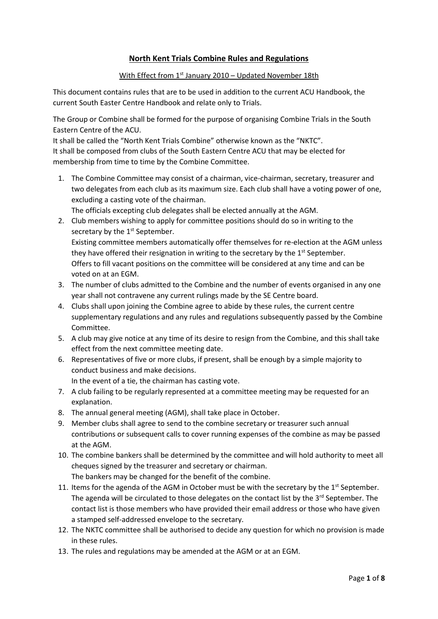# **North Kent Trials Combine Rules and Regulations**

### With Effect from 1<sup>st</sup> January 2010 – Updated November 18th

This document contains rules that are to be used in addition to the current ACU Handbook, the current South Easter Centre Handbook and relate only to Trials.

The Group or Combine shall be formed for the purpose of organising Combine Trials in the South Eastern Centre of the ACU.

It shall be called the "North Kent Trials Combine" otherwise known as the "NKTC". It shall be composed from clubs of the South Eastern Centre ACU that may be elected for membership from time to time by the Combine Committee.

1. The Combine Committee may consist of a chairman, vice-chairman, secretary, treasurer and two delegates from each club as its maximum size. Each club shall have a voting power of one, excluding a casting vote of the chairman.

The officials excepting club delegates shall be elected annually at the AGM.

- 2. Club members wishing to apply for committee positions should do so in writing to the secretary by the 1<sup>st</sup> September. Existing committee members automatically offer themselves for re-election at the AGM unless they have offered their resignation in writing to the secretary by the  $1<sup>st</sup>$  September. Offers to fill vacant positions on the committee will be considered at any time and can be voted on at an EGM.
- 3. The number of clubs admitted to the Combine and the number of events organised in any one year shall not contravene any current rulings made by the SE Centre board.
- 4. Clubs shall upon joining the Combine agree to abide by these rules, the current centre supplementary regulations and any rules and regulations subsequently passed by the Combine Committee.
- 5. A club may give notice at any time of its desire to resign from the Combine, and this shall take effect from the next committee meeting date.
- 6. Representatives of five or more clubs, if present, shall be enough by a simple majority to conduct business and make decisions.

In the event of a tie, the chairman has casting vote.

- 7. A club failing to be regularly represented at a committee meeting may be requested for an explanation.
- 8. The annual general meeting (AGM), shall take place in October.
- 9. Member clubs shall agree to send to the combine secretary or treasurer such annual contributions or subsequent calls to cover running expenses of the combine as may be passed at the AGM.
- 10. The combine bankers shall be determined by the committee and will hold authority to meet all cheques signed by the treasurer and secretary or chairman. The bankers may be changed for the benefit of the combine.
- 11. Items for the agenda of the AGM in October must be with the secretary by the  $1<sup>st</sup>$  September. The agenda will be circulated to those delegates on the contact list by the  $3^{rd}$  September. The contact list is those members who have provided their email address or those who have given a stamped self-addressed envelope to the secretary.
- 12. The NKTC committee shall be authorised to decide any question for which no provision is made in these rules.
- 13. The rules and regulations may be amended at the AGM or at an EGM.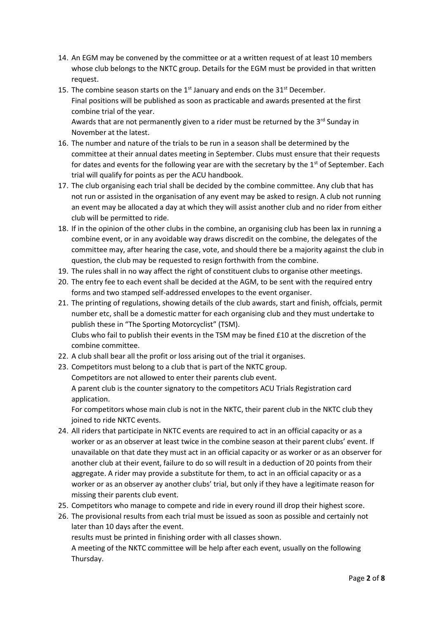- 14. An EGM may be convened by the committee or at a written request of at least 10 members whose club belongs to the NKTC group. Details for the EGM must be provided in that written request.
- 15. The combine season starts on the  $1<sup>st</sup>$  January and ends on the  $31<sup>st</sup>$  December. Final positions will be published as soon as practicable and awards presented at the first combine trial of the year.

Awards that are not permanently given to a rider must be returned by the  $3^{rd}$  Sunday in November at the latest.

- 16. The number and nature of the trials to be run in a season shall be determined by the committee at their annual dates meeting in September. Clubs must ensure that their requests for dates and events for the following year are with the secretary by the  $1<sup>st</sup>$  of September. Each trial will qualify for points as per the ACU handbook.
- 17. The club organising each trial shall be decided by the combine committee. Any club that has not run or assisted in the organisation of any event may be asked to resign. A club not running an event may be allocated a day at which they will assist another club and no rider from either club will be permitted to ride.
- 18. If in the opinion of the other clubs in the combine, an organising club has been lax in running a combine event, or in any avoidable way draws discredit on the combine, the delegates of the committee may, after hearing the case, vote, and should there be a majority against the club in question, the club may be requested to resign forthwith from the combine.
- 19. The rules shall in no way affect the right of constituent clubs to organise other meetings.
- 20. The entry fee to each event shall be decided at the AGM, to be sent with the required entry forms and two stamped self-addressed envelopes to the event organiser.
- 21. The printing of regulations, showing details of the club awards, start and finish, offcials, permit number etc, shall be a domestic matter for each organising club and they must undertake to publish these in "The Sporting Motorcyclist" (TSM). Clubs who fail to publish their events in the TSM may be fined £10 at the discretion of the combine committee.
- 22. A club shall bear all the profit or loss arising out of the trial it organises.
- 23. Competitors must belong to a club that is part of the NKTC group.

Competitors are not allowed to enter their parents club event.

A parent club is the counter signatory to the competitors ACU Trials Registration card application.

For competitors whose main club is not in the NKTC, their parent club in the NKTC club they joined to ride NKTC events.

- 24. All riders that participate in NKTC events are required to act in an official capacity or as a worker or as an observer at least twice in the combine season at their parent clubs' event. If unavailable on that date they must act in an official capacity or as worker or as an observer for another club at their event, failure to do so will result in a deduction of 20 points from their aggregate. A rider may provide a substitute for them, to act in an official capacity or as a worker or as an observer ay another clubs' trial, but only if they have a legitimate reason for missing their parents club event.
- 25. Competitors who manage to compete and ride in every round ill drop their highest score.
- 26. The provisional results from each trial must be issued as soon as possible and certainly not later than 10 days after the event.

results must be printed in finishing order with all classes shown.

A meeting of the NKTC committee will be help after each event, usually on the following Thursday.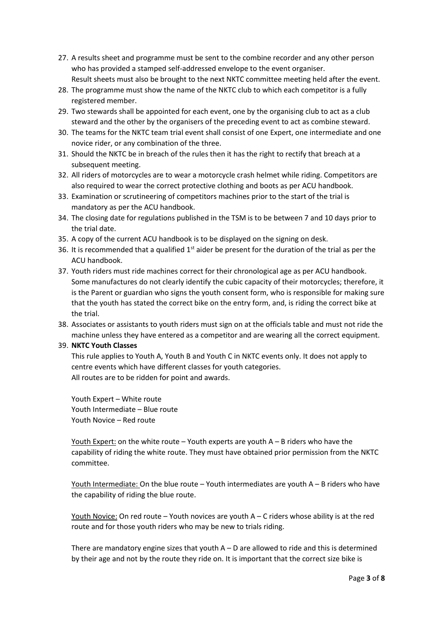- 27. A results sheet and programme must be sent to the combine recorder and any other person who has provided a stamped self-addressed envelope to the event organiser. Result sheets must also be brought to the next NKTC committee meeting held after the event.
- 28. The programme must show the name of the NKTC club to which each competitor is a fully registered member.
- 29. Two stewards shall be appointed for each event, one by the organising club to act as a club steward and the other by the organisers of the preceding event to act as combine steward.
- 30. The teams for the NKTC team trial event shall consist of one Expert, one intermediate and one novice rider, or any combination of the three.
- 31. Should the NKTC be in breach of the rules then it has the right to rectify that breach at a subsequent meeting.
- 32. All riders of motorcycles are to wear a motorcycle crash helmet while riding. Competitors are also required to wear the correct protective clothing and boots as per ACU handbook.
- 33. Examination or scrutineering of competitors machines prior to the start of the trial is mandatory as per the ACU handbook.
- 34. The closing date for regulations published in the TSM is to be between 7 and 10 days prior to the trial date.
- 35. A copy of the current ACU handbook is to be displayed on the signing on desk.
- 36. It is recommended that a qualified  $1<sup>st</sup>$  aider be present for the duration of the trial as per the ACU handbook.
- 37. Youth riders must ride machines correct for their chronological age as per ACU handbook. Some manufactures do not clearly identify the cubic capacity of their motorcycles; therefore, it is the Parent or guardian who signs the youth consent form, who is responsible for making sure that the youth has stated the correct bike on the entry form, and, is riding the correct bike at the trial.
- 38. Associates or assistants to youth riders must sign on at the officials table and must not ride the machine unless they have entered as a competitor and are wearing all the correct equipment.

#### 39. **NKTC Youth Classes**

This rule applies to Youth A, Youth B and Youth C in NKTC events only. It does not apply to centre events which have different classes for youth categories. All routes are to be ridden for point and awards.

Youth Expert – White route Youth Intermediate – Blue route Youth Novice – Red route

Youth Expert: on the white route – Youth experts are youth A – B riders who have the capability of riding the white route. They must have obtained prior permission from the NKTC committee.

Youth Intermediate: On the blue route – Youth intermediates are youth A – B riders who have the capability of riding the blue route.

Youth Novice: On red route – Youth novices are youth  $A - C$  riders whose ability is at the red route and for those youth riders who may be new to trials riding.

There are mandatory engine sizes that youth  $A - D$  are allowed to ride and this is determined by their age and not by the route they ride on. It is important that the correct size bike is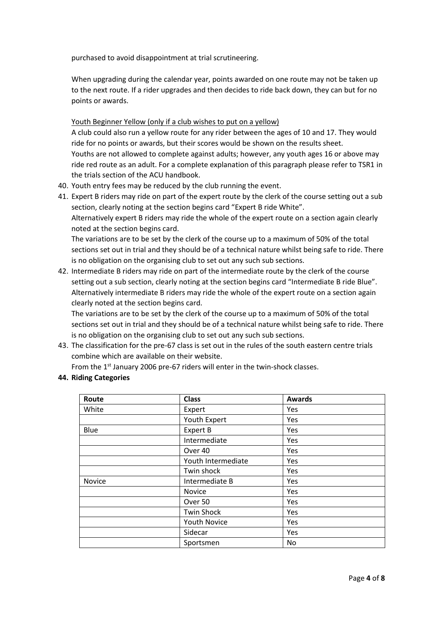purchased to avoid disappointment at trial scrutineering.

When upgrading during the calendar year, points awarded on one route may not be taken up to the next route. If a rider upgrades and then decides to ride back down, they can but for no points or awards.

Youth Beginner Yellow (only if a club wishes to put on a yellow)

A club could also run a yellow route for any rider between the ages of 10 and 17. They would ride for no points or awards, but their scores would be shown on the results sheet. Youths are not allowed to complete against adults; however, any youth ages 16 or above may ride red route as an adult. For a complete explanation of this paragraph please refer to TSR1 in the trials section of the ACU handbook.

- 40. Youth entry fees may be reduced by the club running the event.
- 41. Expert B riders may ride on part of the expert route by the clerk of the course setting out a sub section, clearly noting at the section begins card "Expert B ride White". Alternatively expert B riders may ride the whole of the expert route on a section again clearly

noted at the section begins card. The variations are to be set by the clerk of the course up to a maximum of 50% of the total sections set out in trial and they should be of a technical nature whilst being safe to ride. There is no obligation on the organising club to set out any such sub sections.

42. Intermediate B riders may ride on part of the intermediate route by the clerk of the course setting out a sub section, clearly noting at the section begins card "Intermediate B ride Blue". Alternatively intermediate B riders may ride the whole of the expert route on a section again clearly noted at the section begins card.

The variations are to be set by the clerk of the course up to a maximum of 50% of the total sections set out in trial and they should be of a technical nature whilst being safe to ride. There is no obligation on the organising club to set out any such sub sections.

43. The classification for the pre-67 class is set out in the rules of the south eastern centre trials combine which are available on their website.

From the 1<sup>st</sup> January 2006 pre-67 riders will enter in the twin-shock classes.

**44. Riding Categories**

| Route  | <b>Class</b>       | <b>Awards</b> |
|--------|--------------------|---------------|
| White  | Expert             | <b>Yes</b>    |
|        | Youth Expert       | Yes           |
| Blue   | Expert B           | Yes           |
|        | Intermediate       | Yes           |
|        | Over 40            | Yes           |
|        | Youth Intermediate | Yes           |
|        | Twin shock         | Yes           |
| Novice | Intermediate B     | Yes           |
|        | Novice             | Yes           |
|        | Over 50            | Yes           |
|        | <b>Twin Shock</b>  | Yes           |
|        | Youth Novice       | Yes           |
|        | Sidecar            | Yes           |
|        | Sportsmen          | No            |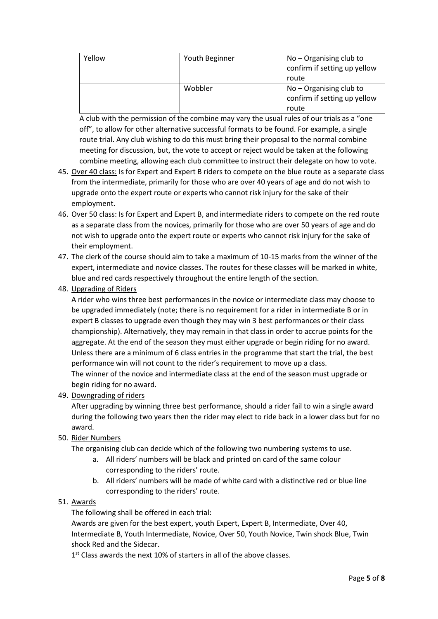| Yellow | Youth Beginner | $No - Organising club to$<br>confirm if setting up yellow<br>route |
|--------|----------------|--------------------------------------------------------------------|
|        | Wobbler        | $No - Organising club to$<br>confirm if setting up yellow<br>route |

A club with the permission of the combine may vary the usual rules of our trials as a "one off", to allow for other alternative successful formats to be found. For example, a single route trial. Any club wishing to do this must bring their proposal to the normal combine meeting for discussion, but, the vote to accept or reject would be taken at the following combine meeting, allowing each club committee to instruct their delegate on how to vote.

- 45. Over 40 class: Is for Expert and Expert B riders to compete on the blue route as a separate class from the intermediate, primarily for those who are over 40 years of age and do not wish to upgrade onto the expert route or experts who cannot risk injury for the sake of their employment.
- 46. Over 50 class: Is for Expert and Expert B, and intermediate riders to compete on the red route as a separate class from the novices, primarily for those who are over 50 years of age and do not wish to upgrade onto the expert route or experts who cannot risk injury for the sake of their employment.
- 47. The clerk of the course should aim to take a maximum of 10-15 marks from the winner of the expert, intermediate and novice classes. The routes for these classes will be marked in white, blue and red cards respectively throughout the entire length of the section.
- 48. Upgrading of Riders

A rider who wins three best performances in the novice or intermediate class may choose to be upgraded immediately (note; there is no requirement for a rider in intermediate B or in expert B classes to upgrade even though they may win 3 best performances or their class championship). Alternatively, they may remain in that class in order to accrue points for the aggregate. At the end of the season they must either upgrade or begin riding for no award. Unless there are a minimum of 6 class entries in the programme that start the trial, the best performance win will not count to the rider's requirement to move up a class.

The winner of the novice and intermediate class at the end of the season must upgrade or begin riding for no award.

49. Downgrading of riders

After upgrading by winning three best performance, should a rider fail to win a single award during the following two years then the rider may elect to ride back in a lower class but for no award.

- 50. Rider Numbers
	- The organising club can decide which of the following two numbering systems to use.
		- a. All riders' numbers will be black and printed on card of the same colour corresponding to the riders' route.
		- b. All riders' numbers will be made of white card with a distinctive red or blue line corresponding to the riders' route.
- 51. Awards

The following shall be offered in each trial:

Awards are given for the best expert, youth Expert, Expert B, Intermediate, Over 40, Intermediate B, Youth Intermediate, Novice, Over 50, Youth Novice, Twin shock Blue, Twin shock Red and the Sidecar.

1<sup>st</sup> Class awards the next 10% of starters in all of the above classes.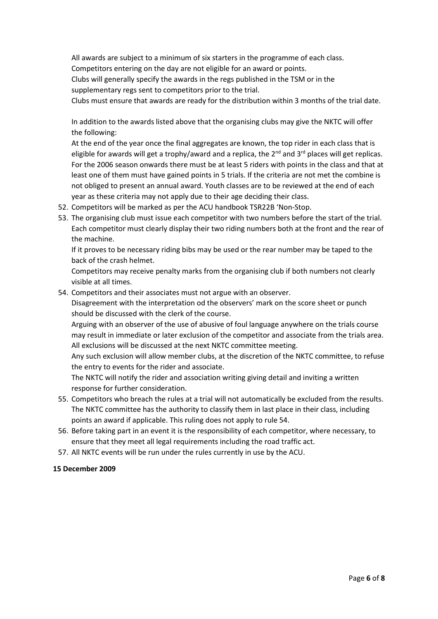All awards are subject to a minimum of six starters in the programme of each class. Competitors entering on the day are not eligible for an award or points.

Clubs will generally specify the awards in the regs published in the TSM or in the supplementary regs sent to competitors prior to the trial.

Clubs must ensure that awards are ready for the distribution within 3 months of the trial date.

In addition to the awards listed above that the organising clubs may give the NKTC will offer the following:

At the end of the year once the final aggregates are known, the top rider in each class that is eligible for awards will get a trophy/award and a replica, the  $2^{nd}$  and  $3^{rd}$  places will get replicas. For the 2006 season onwards there must be at least 5 riders with points in the class and that at least one of them must have gained points in 5 trials. If the criteria are not met the combine is not obliged to present an annual award. Youth classes are to be reviewed at the end of each year as these criteria may not apply due to their age deciding their class.

- 52. Competitors will be marked as per the ACU handbook TSR22B 'Non-Stop.
- 53. The organising club must issue each competitor with two numbers before the start of the trial. Each competitor must clearly display their two riding numbers both at the front and the rear of the machine.

If it proves to be necessary riding bibs may be used or the rear number may be taped to the back of the crash helmet.

Competitors may receive penalty marks from the organising club if both numbers not clearly visible at all times.

54. Competitors and their associates must not argue with an observer.

Disagreement with the interpretation od the observers' mark on the score sheet or punch should be discussed with the clerk of the course.

Arguing with an observer of the use of abusive of foul language anywhere on the trials course may result in immediate or later exclusion of the competitor and associate from the trials area. All exclusions will be discussed at the next NKTC committee meeting.

Any such exclusion will allow member clubs, at the discretion of the NKTC committee, to refuse the entry to events for the rider and associate.

The NKTC will notify the rider and association writing giving detail and inviting a written response for further consideration.

- 55. Competitors who breach the rules at a trial will not automatically be excluded from the results. The NKTC committee has the authority to classify them in last place in their class, including points an award if applicable. This ruling does not apply to rule 54.
- 56. Before taking part in an event it is the responsibility of each competitor, where necessary, to ensure that they meet all legal requirements including the road traffic act.
- 57. All NKTC events will be run under the rules currently in use by the ACU.

#### **15 December 2009**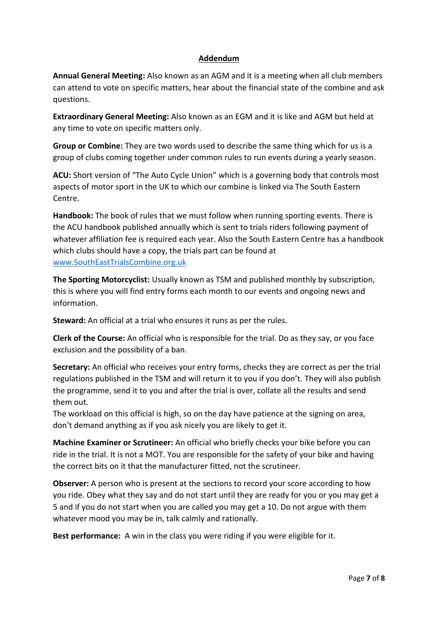# **Addendum**

**Annual General Meeting:** Also known as an AGM and it is a meeting when all club members can attend to vote on specific matters, hear about the financial state of the combine and ask questions.

**Extraordinary General Meeting:** Also known as an EGM and it is like and AGM but held at any time to vote on specific matters only.

**Group or Combine:** They are two words used to describe the same thing which for us is a group of clubs coming together under common rules to run events during a yearly season.

**ACU:** Short version of "The Auto Cycle Union" which is a governing body that controls most aspects of motor sport in the UK to which our combine is linked via The South Eastern Centre.

**Handbook:** The book of rules that we must follow when running sporting events. There is the ACU handbook published annually which is sent to trials riders following payment of whatever affiliation fee is required each year. Also the South Eastern Centre has a handbook which clubs should have a copy, the trials part can be found at [www.SouthEastTrialsCombine.org.uk](http://www.southeasttrialscombine.org.uk/)

**The Sporting Motorcyclist:** Usually known as TSM and published monthly by subscription, this is where you will find entry forms each month to our events and ongoing news and information.

**Steward:** An official at a trial who ensures it runs as per the rules.

**Clerk of the Course:** An official who is responsible for the trial. Do as they say, or you face exclusion and the possibility of a ban.

**Secretary:** An official who receives your entry forms, checks they are correct as per the trial regulations published in the TSM and will return it to you if you don't. They will also publish the programme, send it to you and after the trial is over, collate all the results and send them out.

The workload on this official is high, so on the day have patience at the signing on area, don't demand anything as if you ask nicely you are likely to get it.

**Machine Examiner or Scrutineer:** An official who briefly checks your bike before you can ride in the trial. It is not a MOT. You are responsible for the safety of your bike and having the correct bits on it that the manufacturer fitted, not the scrutineer.

**Observer:** A person who is present at the sections to record your score according to how you ride. Obey what they say and do not start until they are ready for you or you may get a 5 and if you do not start when you are called you may get a 10. Do not argue with them whatever mood you may be in, talk calmly and rationally.

**Best performance:** A win in the class you were riding if you were eligible for it.